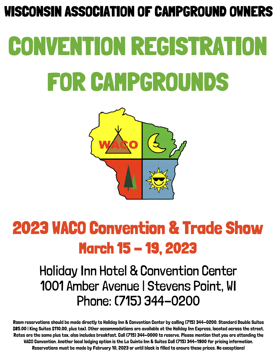## WISCONSIN ASSOCIATION OF CAMPGROUND OWNERS

# CONVENTION REGISTRATION FOR CAMPGROUNDS



## 2023 WACO Convention & Trade Show March 15 - 19, 2023

#### Holiday Inn Hotel & Convention Center 1001 Amber Avenue | Stevens Point, WI Phone: (715) 344-0200

Room reservations should be made directly to Holiday Inn & Convention Center by calling (715) 344-0200. Standard Double Suites \$85.00 | King Suites \$110.00, plus tax). Other accommodations are available at the Holiday Inn Express, located across the street. Rates are the same plus tax, also includes breakfast. Call (715) 344-0000 to reserve. Please mention that you are attending the WACO Convention. Another local lodging option is the La Quinta Inn & Suites Call (715) 344-1900 for pricing information. Reservations must be made by February 10, 2023 or until block is filled to ensure these prices. No exceptions!